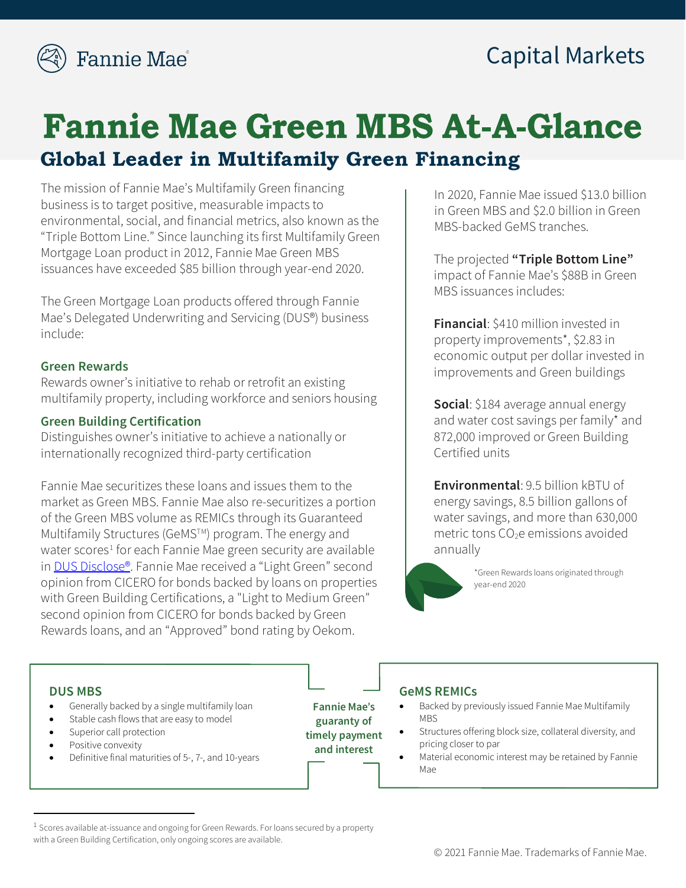

## Capital Markets

# **Fannie Mae Green MBS At-A-Glance Global Leader in Multifamily Green Financing**

The mission of Fannie Mae's Multifamily Green financing business is to target positive, measurable impacts to environmental, social, and financial metrics, also known as the "Triple Bottom Line." Since launching its first Multifamily Green Mortgage Loan product in 2012, Fannie Mae Green MBS issuances have exceeded \$85 billion through year-end 2020.

The Green Mortgage Loan products offered through Fannie Mae's Delegated Underwriting and Servicing (DUS®) business include:

#### **Green Rewards**

Rewards owner's initiative to rehab or retrofit an existing multifamily property, including workforce and seniors housing

#### **Green Building Certification**

Distinguishes owner's initiative to achieve a nationally or internationally recognized third-party certification

Fannie Mae securitizes these loans and issues them to the market as Green MBS. Fannie Mae also re-securitizes a portion of the Green MBS volume as REMICs through its Guaranteed Multifamily Structures (GeMS™) program. The energy and water scores<sup>[1](#page-0-0)</sup> for each Fannie Mae green security are available in **DUS Disclose®**. Fannie Mae received a "Light Green" second opinion from CICERO for bonds backed by loans on properties with Green Building Certifications, a "Light to Medium Green" second opinion from CICERO for bonds backed by Green Rewards loans, and an "Approved" bond rating by Oekom.

In 2020, Fannie Mae issued \$13.0 billion in Green MBS and \$2.0 billion in Green MBS-backed GeMS tranches.

The projected **"Triple Bottom Line"**  impact of Fannie Mae's \$88B in Green MBS issuances includes:

**Financial**: \$410 million invested in property improvements\*, \$2.83 in economic output per dollar invested in improvements and Green buildings

**Social**: \$184 average annual energy and water cost savings per family\* and 872,000 improved or Green Building Certified units

**Environmental**: 9.5 billion kBTU of energy savings, 8.5 billion gallons of water savings, and more than 630,000 metric tons  $CO<sub>2</sub>e$  emissions avoided annually



\*Green Rewards loans originated through year-end 2020

#### **DUS MBS**

- Generally backed by a single multifamily loan
- Stable cash flows that are easy to model
- Superior call protection
- Positive convexity
- Definitive final maturities of 5-, 7-, and 10-years

**Fannie Mae**'**s guaranty of timely payment and interest**

#### **GeMS REMICs**

- Backed by previously issued Fannie Mae Multifamily MBS
- Structures offering block size, collateral diversity, and pricing closer to par
- Material economic interest may be retained by Fannie Mae

<span id="page-0-0"></span><sup>&</sup>lt;sup>1</sup> Scores available at-issuance and ongoing for Green Rewards. For loans secured by a property with a Green Building Certification, only ongoing scores are available.